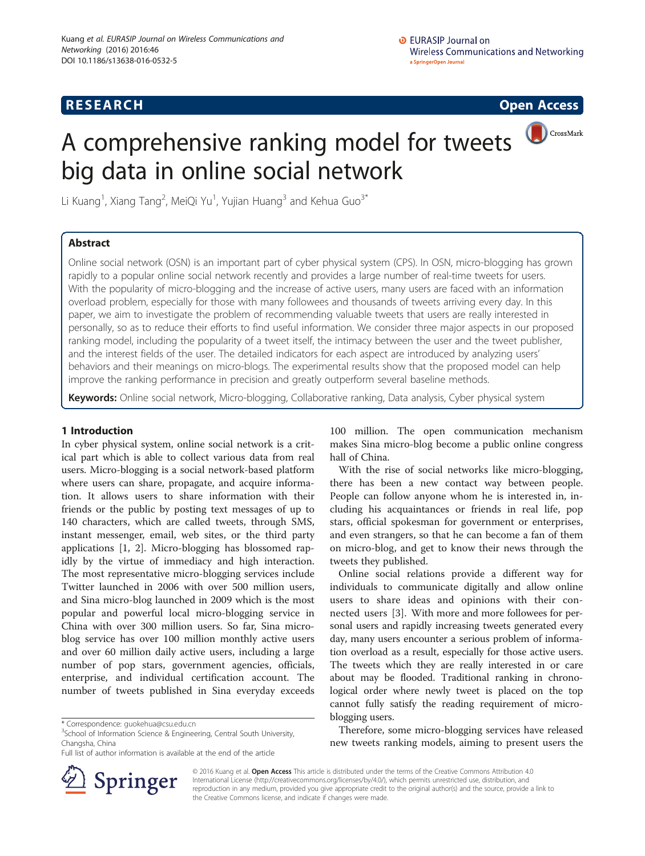# **RESEARCH CHE Open Access**

# A comprehensive ranking model for tweets big data in online social network



Li Kuang<sup>1</sup>, Xiang Tang<sup>2</sup>, MeiQi Yu<sup>1</sup>, Yujian Huang<sup>3</sup> and Kehua Guo<sup>3\*</sup>

# Abstract

Online social network (OSN) is an important part of cyber physical system (CPS). In OSN, micro-blogging has grown rapidly to a popular online social network recently and provides a large number of real-time tweets for users. With the popularity of micro-blogging and the increase of active users, many users are faced with an information overload problem, especially for those with many followees and thousands of tweets arriving every day. In this paper, we aim to investigate the problem of recommending valuable tweets that users are really interested in personally, so as to reduce their efforts to find useful information. We consider three major aspects in our proposed ranking model, including the popularity of a tweet itself, the intimacy between the user and the tweet publisher, and the interest fields of the user. The detailed indicators for each aspect are introduced by analyzing users' behaviors and their meanings on micro-blogs. The experimental results show that the proposed model can help improve the ranking performance in precision and greatly outperform several baseline methods.

Keywords: Online social network, Micro-blogging, Collaborative ranking, Data analysis, Cyber physical system

## 1 Introduction

In cyber physical system, online social network is a critical part which is able to collect various data from real users. Micro-blogging is a social network-based platform where users can share, propagate, and acquire information. It allows users to share information with their friends or the public by posting text messages of up to 140 characters, which are called tweets, through SMS, instant messenger, email, web sites, or the third party applications [\[1](#page-7-0), [2\]](#page-7-0). Micro-blogging has blossomed rapidly by the virtue of immediacy and high interaction. The most representative micro-blogging services include Twitter launched in 2006 with over 500 million users, and Sina micro-blog launched in 2009 which is the most popular and powerful local micro-blogging service in China with over 300 million users. So far, Sina microblog service has over 100 million monthly active users and over 60 million daily active users, including a large number of pop stars, government agencies, officials, enterprise, and individual certification account. The number of tweets published in Sina everyday exceeds

100 million. The open communication mechanism makes Sina micro-blog become a public online congress hall of China.

With the rise of social networks like micro-blogging, there has been a new contact way between people. People can follow anyone whom he is interested in, including his acquaintances or friends in real life, pop stars, official spokesman for government or enterprises, and even strangers, so that he can become a fan of them on micro-blog, and get to know their news through the tweets they published.

Online social relations provide a different way for individuals to communicate digitally and allow online users to share ideas and opinions with their connected users [\[3](#page-7-0)]. With more and more followees for personal users and rapidly increasing tweets generated every day, many users encounter a serious problem of information overload as a result, especially for those active users. The tweets which they are really interested in or care about may be flooded. Traditional ranking in chronological order where newly tweet is placed on the top cannot fully satisfy the reading requirement of microblogging users.

Therefore, some micro-blogging services have released new tweets ranking models, aiming to present users the



<sup>\*</sup> Correspondence: [guokehua@csu.edu.cn](mailto:guokehua@csu.edu.cn) <sup>3</sup>

<sup>&</sup>lt;sup>3</sup>School of Information Science & Engineering, Central South University, Changsha, China

Full list of author information is available at the end of the article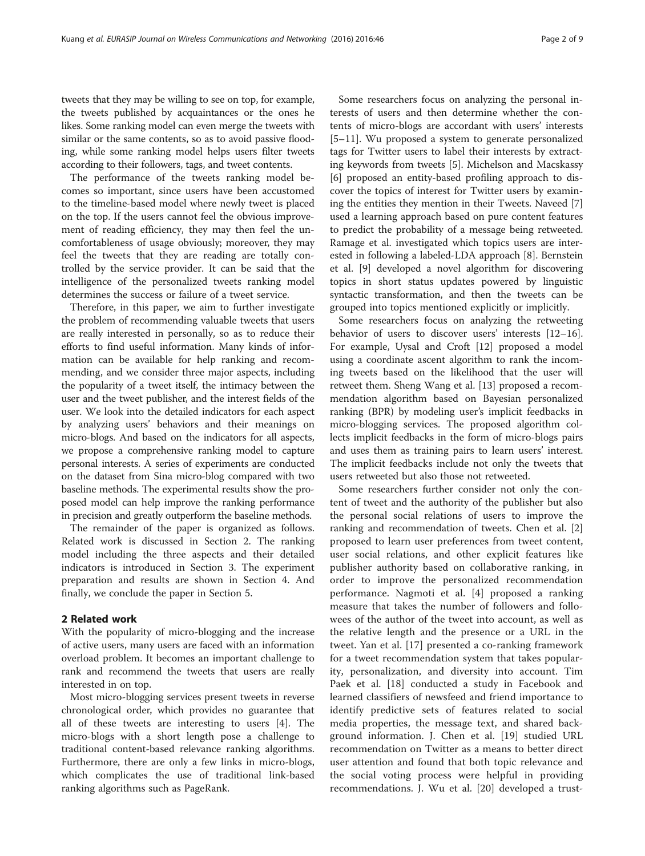tweets that they may be willing to see on top, for example, the tweets published by acquaintances or the ones he likes. Some ranking model can even merge the tweets with similar or the same contents, so as to avoid passive flooding, while some ranking model helps users filter tweets according to their followers, tags, and tweet contents.

The performance of the tweets ranking model becomes so important, since users have been accustomed to the timeline-based model where newly tweet is placed on the top. If the users cannot feel the obvious improvement of reading efficiency, they may then feel the uncomfortableness of usage obviously; moreover, they may feel the tweets that they are reading are totally controlled by the service provider. It can be said that the intelligence of the personalized tweets ranking model determines the success or failure of a tweet service.

Therefore, in this paper, we aim to further investigate the problem of recommending valuable tweets that users are really interested in personally, so as to reduce their efforts to find useful information. Many kinds of information can be available for help ranking and recommending, and we consider three major aspects, including the popularity of a tweet itself, the intimacy between the user and the tweet publisher, and the interest fields of the user. We look into the detailed indicators for each aspect by analyzing users' behaviors and their meanings on micro-blogs. And based on the indicators for all aspects, we propose a comprehensive ranking model to capture personal interests. A series of experiments are conducted on the dataset from Sina micro-blog compared with two baseline methods. The experimental results show the proposed model can help improve the ranking performance in precision and greatly outperform the baseline methods.

The remainder of the paper is organized as follows. Related work is discussed in Section 2. The ranking model including the three aspects and their detailed indicators is introduced in Section [3.](#page-2-0) The experiment preparation and results are shown in Section [4](#page-5-0). And finally, we conclude the paper in Section [5](#page-7-0).

#### 2 Related work

With the popularity of micro-blogging and the increase of active users, many users are faced with an information overload problem. It becomes an important challenge to rank and recommend the tweets that users are really interested in on top.

Most micro-blogging services present tweets in reverse chronological order, which provides no guarantee that all of these tweets are interesting to users [\[4\]](#page-7-0). The micro-blogs with a short length pose a challenge to traditional content-based relevance ranking algorithms. Furthermore, there are only a few links in micro-blogs, which complicates the use of traditional link-based ranking algorithms such as PageRank.

Some researchers focus on analyzing the personal interests of users and then determine whether the contents of micro-blogs are accordant with users' interests [[5](#page-7-0)–[11\]](#page-7-0). Wu proposed a system to generate personalized tags for Twitter users to label their interests by extracting keywords from tweets [[5\]](#page-7-0). Michelson and Macskassy [[6\]](#page-7-0) proposed an entity-based profiling approach to discover the topics of interest for Twitter users by examining the entities they mention in their Tweets. Naveed [\[7](#page-7-0)] used a learning approach based on pure content features to predict the probability of a message being retweeted. Ramage et al. investigated which topics users are interested in following a labeled-LDA approach [[8\]](#page-7-0). Bernstein et al. [[9\]](#page-7-0) developed a novel algorithm for discovering topics in short status updates powered by linguistic syntactic transformation, and then the tweets can be grouped into topics mentioned explicitly or implicitly.

Some researchers focus on analyzing the retweeting behavior of users to discover users' interests [[12](#page-7-0)–[16](#page-7-0)]. For example, Uysal and Croft [\[12](#page-7-0)] proposed a model using a coordinate ascent algorithm to rank the incoming tweets based on the likelihood that the user will retweet them. Sheng Wang et al. [\[13\]](#page-7-0) proposed a recommendation algorithm based on Bayesian personalized ranking (BPR) by modeling user's implicit feedbacks in micro-blogging services. The proposed algorithm collects implicit feedbacks in the form of micro-blogs pairs and uses them as training pairs to learn users' interest. The implicit feedbacks include not only the tweets that users retweeted but also those not retweeted.

Some researchers further consider not only the content of tweet and the authority of the publisher but also the personal social relations of users to improve the ranking and recommendation of tweets. Chen et al. [[2](#page-7-0)] proposed to learn user preferences from tweet content, user social relations, and other explicit features like publisher authority based on collaborative ranking, in order to improve the personalized recommendation performance. Nagmoti et al. [[4\]](#page-7-0) proposed a ranking measure that takes the number of followers and followees of the author of the tweet into account, as well as the relative length and the presence or a URL in the tweet. Yan et al. [[17\]](#page-8-0) presented a co-ranking framework for a tweet recommendation system that takes popularity, personalization, and diversity into account. Tim Paek et al. [[18\]](#page-8-0) conducted a study in Facebook and learned classifiers of newsfeed and friend importance to identify predictive sets of features related to social media properties, the message text, and shared background information. J. Chen et al. [[19\]](#page-8-0) studied URL recommendation on Twitter as a means to better direct user attention and found that both topic relevance and the social voting process were helpful in providing recommendations. J. Wu et al. [[20\]](#page-8-0) developed a trust-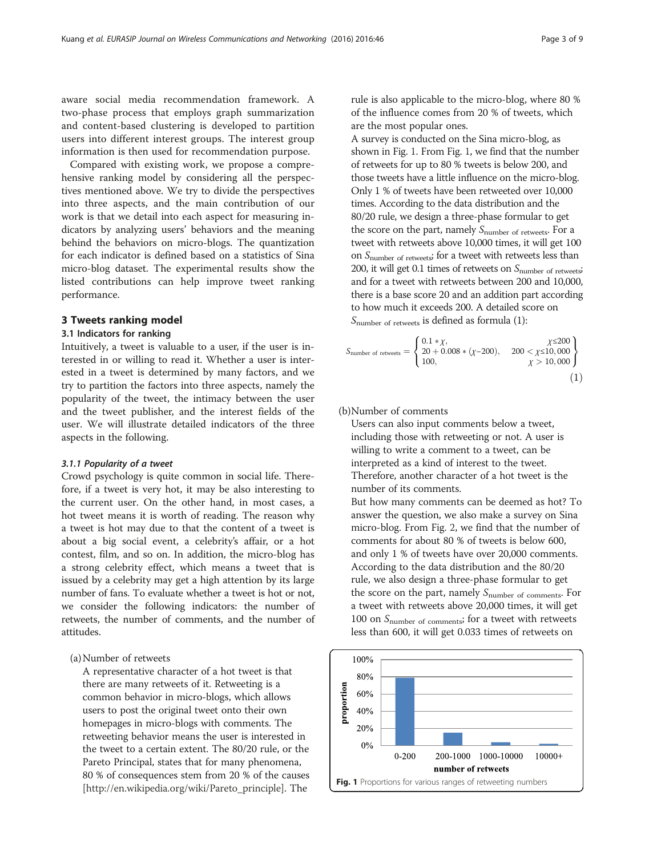<span id="page-2-0"></span>aware social media recommendation framework. A two-phase process that employs graph summarization and content-based clustering is developed to partition users into different interest groups. The interest group information is then used for recommendation purpose.

Compared with existing work, we propose a comprehensive ranking model by considering all the perspectives mentioned above. We try to divide the perspectives into three aspects, and the main contribution of our work is that we detail into each aspect for measuring indicators by analyzing users' behaviors and the meaning behind the behaviors on micro-blogs. The quantization for each indicator is defined based on a statistics of Sina micro-blog dataset. The experimental results show the listed contributions can help improve tweet ranking performance.

#### 3 Tweets ranking model

#### 3.1 Indicators for ranking

Intuitively, a tweet is valuable to a user, if the user is interested in or willing to read it. Whether a user is interested in a tweet is determined by many factors, and we try to partition the factors into three aspects, namely the popularity of the tweet, the intimacy between the user and the tweet publisher, and the interest fields of the user. We will illustrate detailed indicators of the three aspects in the following.

#### 3.1.1 Popularity of a tweet

Crowd psychology is quite common in social life. Therefore, if a tweet is very hot, it may be also interesting to the current user. On the other hand, in most cases, a hot tweet means it is worth of reading. The reason why a tweet is hot may due to that the content of a tweet is about a big social event, a celebrity's affair, or a hot contest, film, and so on. In addition, the micro-blog has a strong celebrity effect, which means a tweet that is issued by a celebrity may get a high attention by its large number of fans. To evaluate whether a tweet is hot or not, we consider the following indicators: the number of retweets, the number of comments, and the number of attitudes.

(a)Number of retweets

A representative character of a hot tweet is that there are many retweets of it. Retweeting is a common behavior in micro-blogs, which allows users to post the original tweet onto their own homepages in micro-blogs with comments. The retweeting behavior means the user is interested in the tweet to a certain extent. The 80/20 rule, or the Pareto Principal, states that for many phenomena, 80 % of consequences stem from 20 % of the causes [\[http://en.wikipedia.org/wiki/Pareto\\_principle](http://en.wikipedia.org/wiki/Pareto_principle)]. The

rule is also applicable to the micro-blog, where 80 % of the influence comes from 20 % of tweets, which are the most popular ones.

A survey is conducted on the Sina micro-blog, as shown in Fig. 1. From Fig. 1, we find that the number of retweets for up to 80 % tweets is below 200, and those tweets have a little influence on the micro-blog. Only 1 % of tweets have been retweeted over 10,000 times. According to the data distribution and the 80/20 rule, we design a three-phase formular to get the score on the part, namely  $S_{\text{number of retwects}}$ . For a tweet with retweets above 10,000 times, it will get 100 on  $S_{\rm number~of~retweets}$  for a tweet with retweets less than 200, it will get 0.1 times of retweets on  $S_{\text{number of retweets}}$ ; and for a tweet with retweets between 200 and 10,000, there is a base score 20 and an addition part according to how much it exceeds 200. A detailed score on  $S_{\text{number of retweets}}$  is defined as formula (1):

$$
S_{\text{number of retweets}} = \begin{cases} 0.1 * \chi, & \chi \leq 200 \\ 20 + 0.008 * (\chi - 200), & 200 < \chi \leq 10,000 \\ 100, & \chi > 10,000 \end{cases}
$$
(1)

(b)Number of comments

Users can also input comments below a tweet, including those with retweeting or not. A user is willing to write a comment to a tweet, can be interpreted as a kind of interest to the tweet. Therefore, another character of a hot tweet is the number of its comments.

But how many comments can be deemed as hot? To answer the question, we also make a survey on Sina micro-blog. From Fig. [2](#page-3-0), we find that the number of comments for about 80 % of tweets is below 600, and only 1 % of tweets have over 20,000 comments. According to the data distribution and the 80/20 rule, we also design a three-phase formular to get the score on the part, namely  $S_{\text{number of comments}}$ . For a tweet with retweets above 20,000 times, it will get 100 on S<sub>number of comments</sub>; for a tweet with retweets less than 600, it will get 0.033 times of retweets on

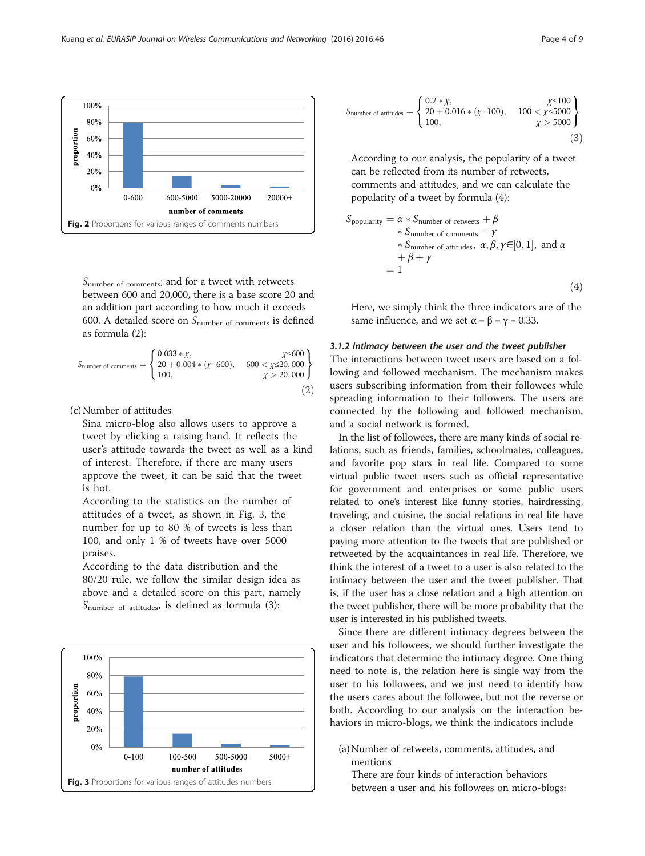<span id="page-3-0"></span>

Snumber of comments; and for a tweet with retweets between 600 and 20,000, there is a base score 20 and an addition part according to how much it exceeds 600. A detailed score on  $S_{\text{number of comments}}$  is defined as formula (2):

$$
Snumber of comments = \begin{cases} 0.033 * \chi, & \chi \le 600 \\ 20 + 0.004 * (\chi - 600), & 600 < \chi \le 20,000 \\ 100, & \chi > 20,000 \end{cases}
$$
(2)

(c)Number of attitudes

Sina micro-blog also allows users to approve a tweet by clicking a raising hand. It reflects the user's attitude towards the tweet as well as a kind of interest. Therefore, if there are many users approve the tweet, it can be said that the tweet is hot.

According to the statistics on the number of attitudes of a tweet, as shown in Fig. 3, the number for up to 80 % of tweets is less than 100, and only 1 % of tweets have over 5000 praises.

According to the data distribution and the 80/20 rule, we follow the similar design idea as above and a detailed score on this part, namely Snumber of attitudes, is defined as formula (3):



$$
Snumber of attitudes = \begin{cases} 0.2 * \chi, & \chi \leq 100 \\ 20 + 0.016 * (\chi - 100), & 100 < \chi \leq 5000 \\ 100, & \chi > 5000 \end{cases}
$$
(3)

According to our analysis, the popularity of a tweet can be reflected from its number of retweets, comments and attitudes, and we can calculate the popularity of a tweet by formula (4):

$$
S_{\text{popularity}} = \alpha * S_{\text{number of.}} + \beta
$$
  
\n
$$
* S_{\text{number of comments}} + \gamma
$$
  
\n
$$
* S_{\text{number of attitudes}}, \alpha, \beta, \gamma \in [0, 1], \text{ and } \alpha
$$
  
\n
$$
+ \beta + \gamma
$$
  
\n
$$
= 1
$$
\n(4)

Here, we simply think the three indicators are of the same influence, and we set  $\alpha = \beta = \gamma = 0.33$ .

#### 3.1.2 Intimacy between the user and the tweet publisher

The interactions between tweet users are based on a following and followed mechanism. The mechanism makes users subscribing information from their followees while spreading information to their followers. The users are connected by the following and followed mechanism, and a social network is formed.

In the list of followees, there are many kinds of social relations, such as friends, families, schoolmates, colleagues, and favorite pop stars in real life. Compared to some virtual public tweet users such as official representative for government and enterprises or some public users related to one's interest like funny stories, hairdressing, traveling, and cuisine, the social relations in real life have a closer relation than the virtual ones. Users tend to paying more attention to the tweets that are published or retweeted by the acquaintances in real life. Therefore, we think the interest of a tweet to a user is also related to the intimacy between the user and the tweet publisher. That is, if the user has a close relation and a high attention on the tweet publisher, there will be more probability that the user is interested in his published tweets.

Since there are different intimacy degrees between the user and his followees, we should further investigate the indicators that determine the intimacy degree. One thing need to note is, the relation here is single way from the user to his followees, and we just need to identify how the users cares about the followee, but not the reverse or both. According to our analysis on the interaction behaviors in micro-blogs, we think the indicators include

(a)Number of retweets, comments, attitudes, and mentions

There are four kinds of interaction behaviors between a user and his followees on micro-blogs: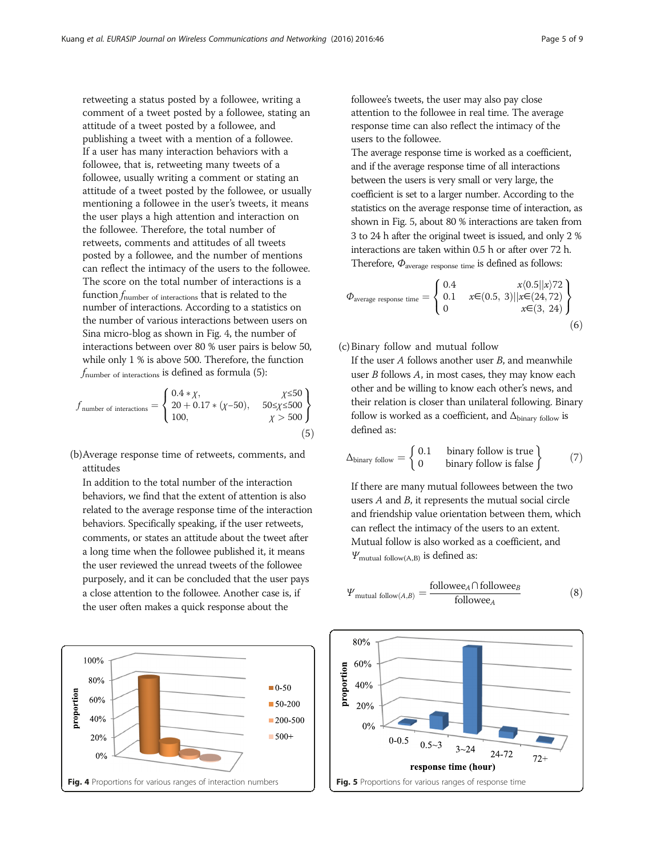retweeting a status posted by a followee, writing a comment of a tweet posted by a followee, stating an attitude of a tweet posted by a followee, and publishing a tweet with a mention of a followee. If a user has many interaction behaviors with a followee, that is, retweeting many tweets of a followee, usually writing a comment or stating an attitude of a tweet posted by the followee, or usually mentioning a followee in the user's tweets, it means the user plays a high attention and interaction on the followee. Therefore, the total number of retweets, comments and attitudes of all tweets posted by a followee, and the number of mentions can reflect the intimacy of the users to the followee. The score on the total number of interactions is a function  $f_{\text{number of interactions}}$  that is related to the number of interactions. According to a statistics on the number of various interactions between users on Sina micro-blog as shown in Fig. 4, the number of interactions between over 80 % user pairs is below 50, while only 1 % is above 500. Therefore, the function  $f_{\text{number of interactions}}$  is defined as formula (5):

$$
f_{\text{number of interactions}} = \begin{cases} 0.4 * \chi, & \chi \le 50 \\ 20 + 0.17 * (\chi - 50), & 50 \le \chi \le 500 \\ 100, & \chi > 500 \end{cases}
$$
(5)

(b)Average response time of retweets, comments, and attitudes

In addition to the total number of the interaction behaviors, we find that the extent of attention is also related to the average response time of the interaction behaviors. Specifically speaking, if the user retweets, comments, or states an attitude about the tweet after a long time when the followee published it, it means the user reviewed the unread tweets of the followee purposely, and it can be concluded that the user pays a close attention to the followee. Another case is, if the user often makes a quick response about the



followee's tweets, the user may also pay close attention to the followee in real time. The average response time can also reflect the intimacy of the users to the followee.

The average response time is worked as a coefficient, and if the average response time of all interactions between the users is very small or very large, the coefficient is set to a larger number. According to the statistics on the average response time of interaction, as shown in Fig. 5, about 80 % interactions are taken from 3 to 24 h after the original tweet is issued, and only 2 % interactions are taken within 0.5 h or after over 72 h. Therefore,  $\Phi_{\text{average response time}}$  is defined as follows:

$$
\Phi_{\text{average response time}} = \begin{cases}\n0.4 & x \leq 0.5, \ 3 \leq x \leq 24, \ 72 \\
0.1 & x \leq 0.5, \ 3 \leq x \leq 3, \ 24\n\end{cases}
$$
\n
$$
(6)
$$

(c)Binary follow and mutual follow

If the user  $A$  follows another user  $B$ , and meanwhile user B follows A, in most cases, they may know each other and be willing to know each other's news, and their relation is closer than unilateral following. Binary follow is worked as a coefficient, and  $\Delta_{\text{binary follow}}$  is defined as:

$$
\Delta_{\text{binary follow}} = \begin{cases} 0.1 & \text{binary follow is true} \\ 0 & \text{binary follow is false} \end{cases}
$$
 (7)

If there are many mutual followees between the two users  $A$  and  $B$ , it represents the mutual social circle and friendship value orientation between them, which can reflect the intimacy of the users to an extent. Mutual follow is also worked as a coefficient, and  $\Psi_{\text{mutual follow}(A,B)}$  is defined as:

$$
\Psi_{\text{mutual follow}(A,B)} = \frac{\text{followee}_A \cap \text{followee}_B}{\text{followee}_A} \tag{8}
$$

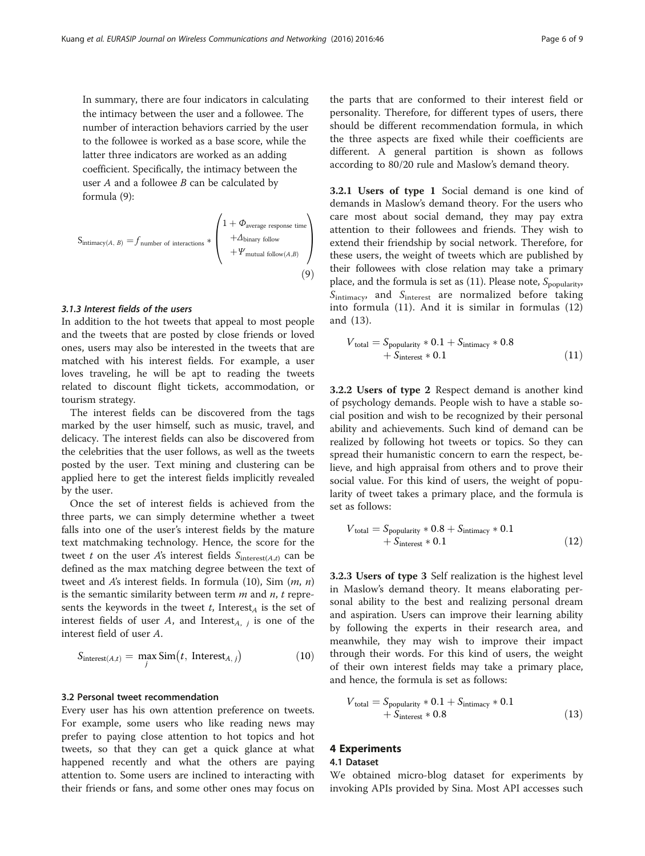<span id="page-5-0"></span>In summary, there are four indicators in calculating the intimacy between the user and a followee. The number of interaction behaviors carried by the user to the followee is worked as a base score, while the latter three indicators are worked as an adding coefficient. Specifically, the intimacy between the user  $A$  and a followee  $B$  can be calculated by formula (9):

$$
S_{\text{intimaxy}(A, B)} = f_{\text{number of interactions}} * \begin{pmatrix} 1 + \Phi_{\text{average response time}} \\ +\Delta_{\text{binary follow}} \\ +\Psi_{\text{mutual follow}(A, B)} \end{pmatrix}
$$
(9)

## 3.1.3 Interest fields of the users

In addition to the hot tweets that appeal to most people and the tweets that are posted by close friends or loved ones, users may also be interested in the tweets that are matched with his interest fields. For example, a user loves traveling, he will be apt to reading the tweets related to discount flight tickets, accommodation, or tourism strategy.

The interest fields can be discovered from the tags marked by the user himself, such as music, travel, and delicacy. The interest fields can also be discovered from the celebrities that the user follows, as well as the tweets posted by the user. Text mining and clustering can be applied here to get the interest fields implicitly revealed by the user.

Once the set of interest fields is achieved from the three parts, we can simply determine whether a tweet falls into one of the user's interest fields by the mature text matchmaking technology. Hence, the score for the tweet t on the user A's interest fields  $S_{\text{interest}(A,t)}$  can be defined as the max matching degree between the text of tweet and A's interest fields. In formula (10), Sim  $(m, n)$ is the semantic similarity between term  $m$  and  $n$ ,  $t$  represents the keywords in the tweet  $t$ , Interest<sub>A</sub> is the set of interest fields of user A, and Interest<sub>A, i</sub> is one of the interest field of user A.

$$
S_{\text{interest}(A,t)} = \max_{j} \text{Sim}(t, \text{ Interest}_{A,j}) \tag{10}
$$

#### 3.2 Personal tweet recommendation

Every user has his own attention preference on tweets. For example, some users who like reading news may prefer to paying close attention to hot topics and hot tweets, so that they can get a quick glance at what happened recently and what the others are paying attention to. Some users are inclined to interacting with their friends or fans, and some other ones may focus on the parts that are conformed to their interest field or personality. Therefore, for different types of users, there should be different recommendation formula, in which the three aspects are fixed while their coefficients are different. A general partition is shown as follows according to 80/20 rule and Maslow's demand theory.

3.2.1 Users of type 1 Social demand is one kind of demands in Maslow's demand theory. For the users who care most about social demand, they may pay extra attention to their followees and friends. They wish to extend their friendship by social network. Therefore, for these users, the weight of tweets which are published by their followees with close relation may take a primary place, and the formula is set as (11). Please note,  $S_{\text{popularity}}$ S<sub>intimacy</sub>, and S<sub>interest</sub> are normalized before taking into formula (11). And it is similar in formulas (12) and (13).

$$
V_{\text{total}} = S_{\text{popularity}} * 0.1 + S_{\text{intimaxy}} * 0.8 + S_{\text{interest}} * 0.1 \tag{11}
$$

3.2.2 Users of type 2 Respect demand is another kind of psychology demands. People wish to have a stable social position and wish to be recognized by their personal ability and achievements. Such kind of demand can be realized by following hot tweets or topics. So they can spread their humanistic concern to earn the respect, believe, and high appraisal from others and to prove their social value. For this kind of users, the weight of popularity of tweet takes a primary place, and the formula is set as follows:

$$
V_{\text{total}} = S_{\text{popularity}} * 0.8 + S_{\text{intimaxy}} * 0.1 + S_{\text{interest}} * 0.1
$$
\n(12)

3.2.3 Users of type 3 Self realization is the highest level in Maslow's demand theory. It means elaborating personal ability to the best and realizing personal dream and aspiration. Users can improve their learning ability by following the experts in their research area, and meanwhile, they may wish to improve their impact through their words. For this kind of users, the weight of their own interest fields may take a primary place, and hence, the formula is set as follows:

$$
V_{\text{total}} = S_{\text{popularity}} * 0.1 + S_{\text{intimaxy}} * 0.1 + S_{\text{interest}} * 0.8
$$
\n(13)

## 4 Experiments

## 4.1 Dataset

We obtained micro-blog dataset for experiments by invoking APIs provided by Sina. Most API accesses such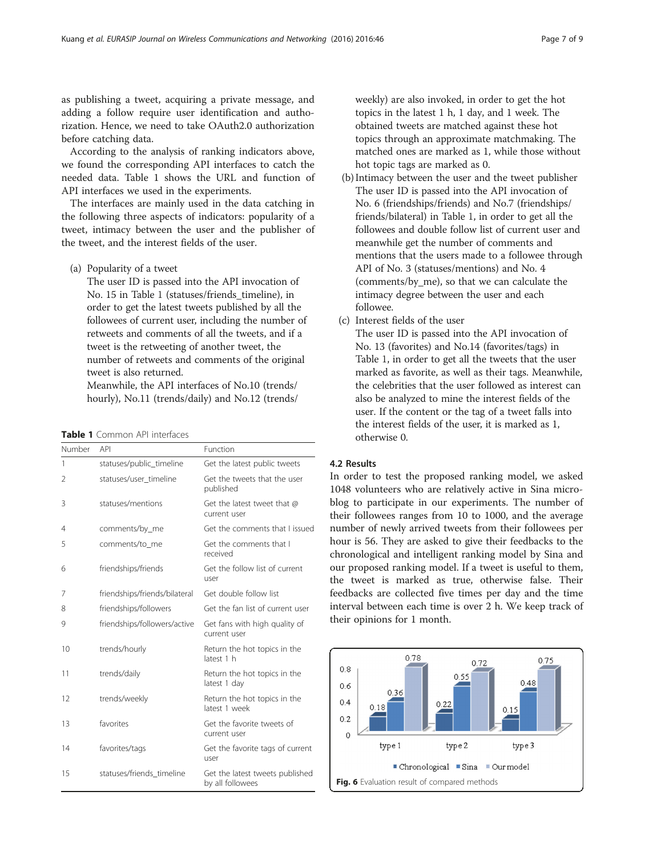<span id="page-6-0"></span>as publishing a tweet, acquiring a private message, and adding a follow require user identification and authorization. Hence, we need to take OAuth2.0 authorization before catching data.

According to the analysis of ranking indicators above, we found the corresponding API interfaces to catch the needed data. Table 1 shows the URL and function of API interfaces we used in the experiments.

The interfaces are mainly used in the data catching in the following three aspects of indicators: popularity of a tweet, intimacy between the user and the publisher of the tweet, and the interest fields of the user.

(a) Popularity of a tweet

The user ID is passed into the API invocation of No. 15 in Table 1 (statuses/friends\_timeline), in order to get the latest tweets published by all the followees of current user, including the number of retweets and comments of all the tweets, and if a tweet is the retweeting of another tweet, the number of retweets and comments of the original tweet is also returned.

Meanwhile, the API interfaces of No.10 (trends/ hourly), No.11 (trends/daily) and No.12 (trends/

#### Table 1 Common API interfaces

| Number         | <b>API</b>                    | Function                                            |
|----------------|-------------------------------|-----------------------------------------------------|
| 1              | statuses/public timeline      | Get the latest public tweets                        |
| $\mathfrak{D}$ | statuses/user_timeline        | Get the tweets that the user<br>published           |
| 3              | statuses/mentions             | Get the latest tweet that @<br>current user         |
| 4              | comments/by_me                | Get the comments that I issued                      |
| 5              | comments/to me                | Get the comments that I<br>received                 |
| 6              | friendships/friends           | Get the follow list of current<br>user              |
| 7              | friendships/friends/bilateral | Get double follow list                              |
| 8              | friendships/followers         | Get the fan list of current user                    |
| 9              | friendships/followers/active  | Get fans with high quality of<br>current user       |
| 10             | trends/hourly                 | Return the hot topics in the<br>latest 1 h          |
| 11             | trends/daily                  | Return the hot topics in the<br>latest 1 day        |
| 12             | trends/weekly                 | Return the hot topics in the<br>latest 1 week       |
| 13             | favorites                     | Get the favorite tweets of<br>current user          |
| 14             | favorites/tags                | Get the favorite tags of current<br>user            |
| 15             | statuses/friends_timeline     | Get the latest tweets published<br>by all followees |

weekly) are also invoked, in order to get the hot topics in the latest 1 h, 1 day, and 1 week. The obtained tweets are matched against these hot topics through an approximate matchmaking. The matched ones are marked as 1, while those without hot topic tags are marked as 0.

- (b) Intimacy between the user and the tweet publisher The user ID is passed into the API invocation of No. 6 (friendships/friends) and No.7 (friendships/ friends/bilateral) in Table 1, in order to get all the followees and double follow list of current user and meanwhile get the number of comments and mentions that the users made to a followee through API of No. 3 (statuses/mentions) and No. 4 (comments/by\_me), so that we can calculate the intimacy degree between the user and each followee.
- (c) Interest fields of the user

The user ID is passed into the API invocation of No. 13 (favorites) and No.14 (favorites/tags) in Table 1, in order to get all the tweets that the user marked as favorite, as well as their tags. Meanwhile, the celebrities that the user followed as interest can also be analyzed to mine the interest fields of the user. If the content or the tag of a tweet falls into the interest fields of the user, it is marked as 1, otherwise 0.

## 4.2 Results

In order to test the proposed ranking model, we asked 1048 volunteers who are relatively active in Sina microblog to participate in our experiments. The number of their followees ranges from 10 to 1000, and the average number of newly arrived tweets from their followees per hour is 56. They are asked to give their feedbacks to the chronological and intelligent ranking model by Sina and our proposed ranking model. If a tweet is useful to them, the tweet is marked as true, otherwise false. Their feedbacks are collected five times per day and the time interval between each time is over 2 h. We keep track of their opinions for 1 month.

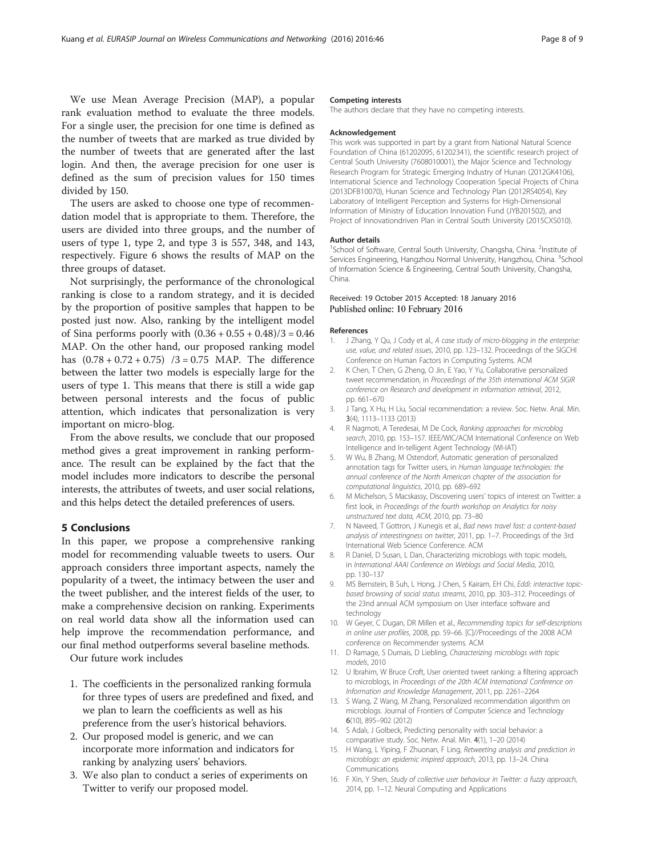<span id="page-7-0"></span>We use Mean Average Precision (MAP), a popular rank evaluation method to evaluate the three models. For a single user, the precision for one time is defined as the number of tweets that are marked as true divided by the number of tweets that are generated after the last login. And then, the average precision for one user is defined as the sum of precision values for 150 times divided by 150.

The users are asked to choose one type of recommendation model that is appropriate to them. Therefore, the users are divided into three groups, and the number of users of type 1, type 2, and type 3 is 557, 348, and 143, respectively. Figure [6](#page-6-0) shows the results of MAP on the three groups of dataset.

Not surprisingly, the performance of the chronological ranking is close to a random strategy, and it is decided by the proportion of positive samples that happen to be posted just now. Also, ranking by the intelligent model of Sina performs poorly with (0.36 + 0.55 + 0.48)/3 = 0.46 MAP. On the other hand, our proposed ranking model has  $(0.78 + 0.72 + 0.75)$  /3 = 0.75 MAP. The difference between the latter two models is especially large for the users of type 1. This means that there is still a wide gap between personal interests and the focus of public attention, which indicates that personalization is very important on micro-blog.

From the above results, we conclude that our proposed method gives a great improvement in ranking performance. The result can be explained by the fact that the model includes more indicators to describe the personal interests, the attributes of tweets, and user social relations, and this helps detect the detailed preferences of users.

## 5 Conclusions

In this paper, we propose a comprehensive ranking model for recommending valuable tweets to users. Our approach considers three important aspects, namely the popularity of a tweet, the intimacy between the user and the tweet publisher, and the interest fields of the user, to make a comprehensive decision on ranking. Experiments on real world data show all the information used can help improve the recommendation performance, and our final method outperforms several baseline methods.

Our future work includes

- 1. The coefficients in the personalized ranking formula for three types of users are predefined and fixed, and we plan to learn the coefficients as well as his preference from the user's historical behaviors.
- 2. Our proposed model is generic, and we can incorporate more information and indicators for ranking by analyzing users' behaviors.
- 3. We also plan to conduct a series of experiments on Twitter to verify our proposed model.

#### Competing interests

The authors declare that they have no competing interests.

#### Acknowledgement

This work was supported in part by a grant from National Natural Science Foundation of China (61202095, 61202341), the scientific research project of Central South University (7608010001), the Major Science and Technology Research Program for Strategic Emerging Industry of Hunan (2012GK4106), International Science and Technology Cooperation Special Projects of China (2013DFB10070), Hunan Science and Technology Plan (2012RS4054), Key Laboratory of Intelligent Perception and Systems for High-Dimensional Information of Ministry of Education Innovation Fund (JYB201502), and Project of Innovationdriven Plan in Central South University (2015CXS010).

#### Author details

<sup>1</sup>School of Software, Central South University, Changsha, China. <sup>2</sup>Institute of Services Engineering, Hangzhou Normal University, Hangzhou, China. <sup>3</sup>School of Information Science & Engineering, Central South University, Changsha, China.

#### Received: 19 October 2015 Accepted: 18 January 2016 Published online: 10 February 2016

#### References

- J Zhang, Y Qu, J Cody et al., A case study of micro-blogging in the enterprise: use, value, and related issues, 2010, pp. 123–132. Proceedings of the SIGCHI Conference on Human Factors in Computing Systems. ACM
- 2. K Chen, T Chen, G Zheng, O Jin, E Yao, Y Yu, Collaborative personalized tweet recommendation, in Proceedings of the 35th international ACM SIGIR conference on Research and development in information retrieval, 2012, pp. 661–670
- 3. J Tang, X Hu, H Liu, Social recommendation: a review. Soc. Netw. Anal. Min. 3(4), 1113–1133 (2013)
- 4. R Nagmoti, A Teredesai, M De Cock, Ranking approaches for microblog search, 2010, pp. 153–157. IEEE/WIC/ACM International Conference on Web Intelligence and In-telligent Agent Technology (WI-IAT)
- 5. W Wu, B Zhang, M Ostendorf, Automatic generation of personalized annotation tags for Twitter users, in Human language technologies: the annual conference of the North American chapter of the association for computational linguistics, 2010, pp. 689–692
- 6. M Michelson, S Macskassy, Discovering users' topics of interest on Twitter: a first look, in Proceedings of the fourth workshop on Analytics for noisy unstructured text data, ACM, 2010, pp. 73–80
- 7. N Naveed, T Gottron, J Kunegis et al., Bad news travel fast: a content-based analysis of interestingness on twitter, 2011, pp. 1–7. Proceedings of the 3rd International Web Science Conference. ACM
- 8. R Daniel, D Susan, L Dan, Characterizing microblogs with topic models, in International AAAI Conference on Weblogs and Social Media, 2010, pp. 130–137
- 9. MS Bernstein, B Suh, L Hong, J Chen, S Kairam, EH Chi, Eddi: interactive topicbased browsing of social status streams, 2010, pp. 303–312. Proceedings of the 23nd annual ACM symposium on User interface software and technology
- 10. W Geyer, C Dugan, DR Millen et al., Recommending topics for self-descriptions in online user profiles, 2008, pp. 59–66. [C]//Proceedings of the 2008 ACM conference on Recommender systems. ACM
- 11. D Ramage, S Dumais, D Liebling, Characterizing microblogs with topic models, 2010
- 12. U Ibrahim, W Bruce Croft, User oriented tweet ranking: a filtering approach to microblogs, in Proceedings of the 20th ACM International Conference on Information and Knowledge Management, 2011, pp. 2261–2264
- 13. S Wang, Z Wang, M Zhang, Personalized recommendation algorithm on microblogs. Journal of Frontiers of Computer Science and Technology 6(10), 895–902 (2012)
- 14. S Adalı, J Golbeck, Predicting personality with social behavior: a comparative study. Soc. Netw. Anal. Min. 4(1), 1–20 (2014)
- 15. H Wang, L Yiping, F Zhuonan, F Ling, Retweeting analysis and prediction in microblogs: an epidemic inspired approach, 2013, pp. 13–24. China Communications
- 16. F Xin, Y Shen, Study of collective user behaviour in Twitter: a fuzzy approach, 2014, pp. 1–12. Neural Computing and Applications